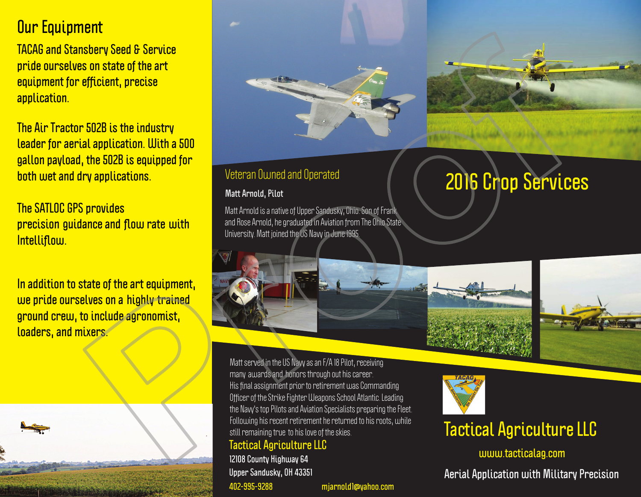### **Our Equipment**

**TACAG and Stansbery Seed & Service** pride ourselves on state of the art equipment for efficient, precise application.

The Air Tractor 502B is the industry leader for aerial application. With a 500 gallon payload, the 502B is equipped for both wet and dry applications.

**The SATLOC GPS provides** precision guidance and flow rate with Intelliflow.

In addition to state of the art equipment. we pride ourselves on a highly trained ground crew, to include agronomist, loaders, and mixers.





### **Veteran Owned and Operated**

#### **Matt Arnold, Pilot**

Matt Arnold is a native of Upper Sandusky, Ohio. Son of Frank and Rose Arnold, he graduated in Aviation from The Ohio State University. Matt joined the US Naw in June 1995

# **2016 Crop Services**





Matt served in the US Navy as an F/A I8 Pilot, receiving many awards and honors through out his career. His final assignment prior to retirement was Commanding Officer of the Strike Fighter Weapons School Atlantic. Leading the Navy's top Pilots and Aviation Specialists preparing the Fleet. Following his recent retirement he returned to his roots, while still remaining true to his love of the skies.

#### **Tactical Agriculture LLC**

12108 County Highway 64 Upper Sandusky, OH 43351 402-995-9288 mjarnoldl@yahoo.com

## **Tactical Agriculture LLC**

www.tacticalag.com

**Aerial Application with Military Precision**